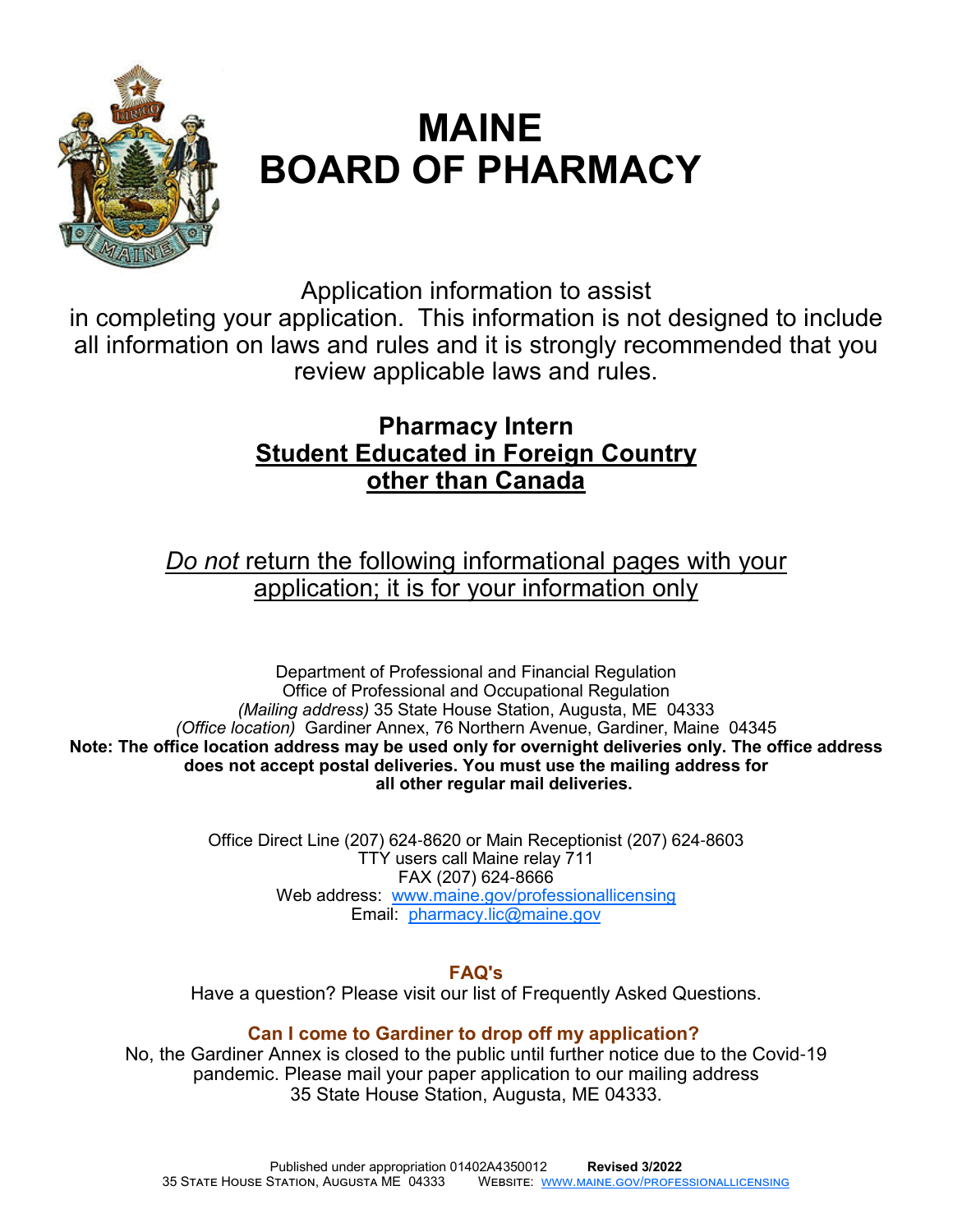

# **MAINE BOARD OF PHARMACY**

Application information to assist

in completing your application. This information is not designed to include all information on laws and rules and it is strongly recommended that you review applicable laws and rules.

# **Pharmacy Intern Student Educated in Foreign Country other than Canada**

*Do not* return the following informational pages with your application; it is for your information only

Department of Professional and Financial Regulation Office of Professional and Occupational Regulation *(Mailing address)* 35 State House Station, Augusta, ME 04333 *(Office location)* Gardiner Annex, 76 Northern Avenue, Gardiner, Maine 04345 **Note: The office location address may be used only for overnight deliveries only. The office address does not accept postal deliveries. You must use the mailing address for all other regular mail deliveries.**

> Office Direct Line (207) 624-8620 or Main Receptionist (207) 624-8603 TTY users call Maine relay 711 FAX (207) 624-8666 Web address: www.maine.gov/professionallicensing Email: pharmacy.lic@maine.gov

> > **FAQ's**

Have a question? Please visit our list of Frequently Asked Questions.

# **Can I come to Gardiner to drop off my application?**

No, the Gardiner Annex is closed to the public until further notice due to the Covid-19 pandemic. Please mail your paper application to our mailing address 35 State House Station, Augusta, ME 04333.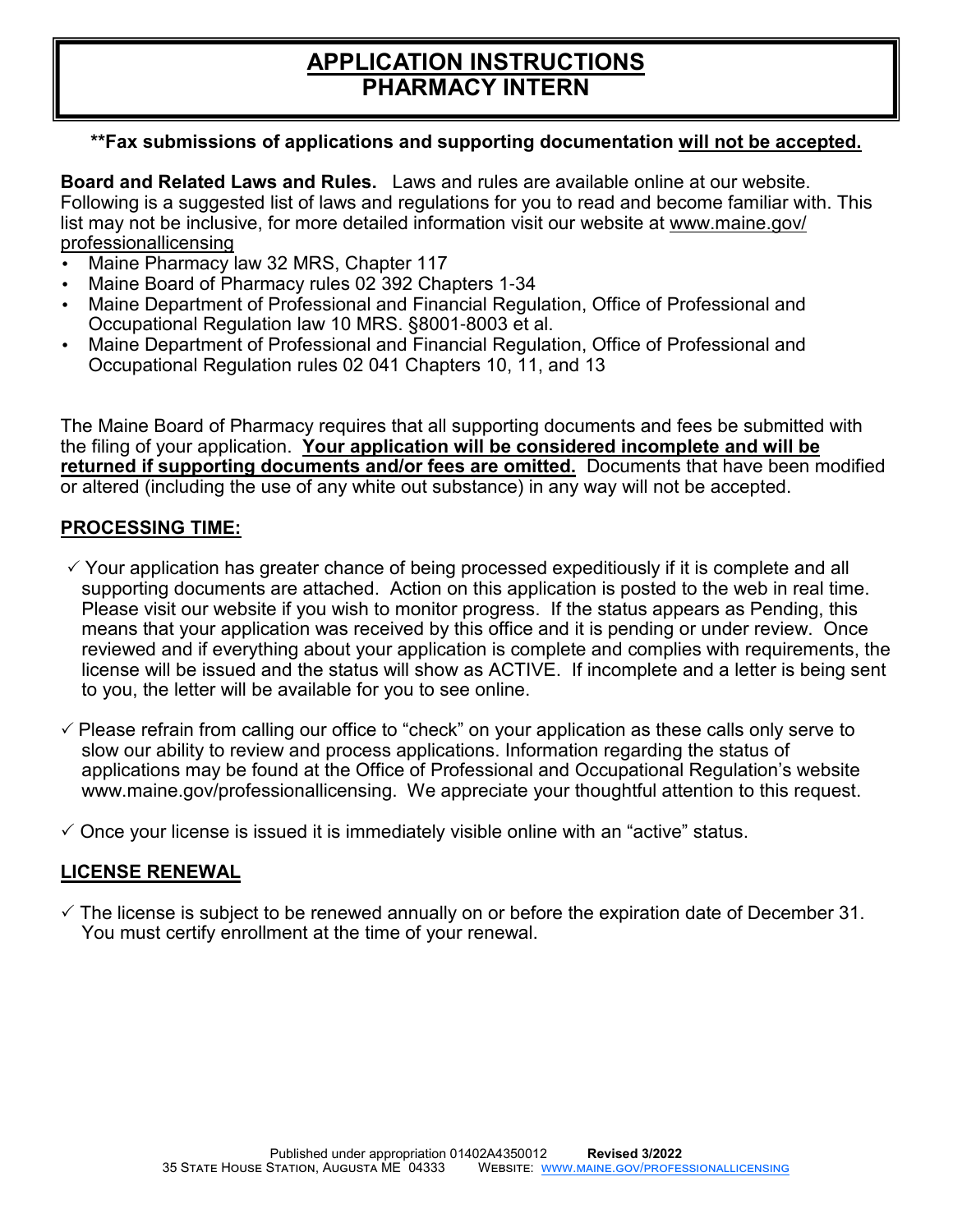# **APPLICATION INSTRUCTIONS PHARMACY INTERN**

#### **\*\*Fax submissions of applications and supporting documentation will not be accepted.**

**Board and Related Laws and Rules.** Laws and rules are available online at our website. Following is a suggested list of laws and regulations for you to read and become familiar with. This list may not be inclusive, for more detailed information visit our website at www.maine.gov/ professionallicensing

- Maine Pharmacy law 32 MRS, Chapter 117
- Maine Board of Pharmacy rules 02 392 Chapters 1-34
- Maine Department of Professional and Financial Regulation, Office of Professional and Occupational Regulation law 10 MRS. §8001-8003 et al.
- Maine Department of Professional and Financial Regulation, Office of Professional and Occupational Regulation rules 02 041 Chapters 10, 11, and 13

The Maine Board of Pharmacy requires that all supporting documents and fees be submitted with the filing of your application. **Your application will be considered incomplete and will be returned if supporting documents and/or fees are omitted.** Documents that have been modified or altered (including the use of any white out substance) in any way will not be accepted.

#### **PROCESSING TIME:**

- $\checkmark$  Your application has greater chance of being processed expeditiously if it is complete and all supporting documents are attached. Action on this application is posted to the web in real time. Please visit our website if you wish to monitor progress. If the status appears as Pending, this means that your application was received by this office and it is pending or under review. Once reviewed and if everything about your application is complete and complies with requirements, the license will be issued and the status will show as ACTIVE. If incomplete and a letter is being sent to you, the letter will be available for you to see online.
- $\checkmark$  Please refrain from calling our office to "check" on your application as these calls only serve to slow our ability to review and process applications. Information regarding the status of applications may be found at the Office of Professional and Occupational Regulation's website www.maine.gov/professionallicensing. We appreciate your thoughtful attention to this request.
- $\checkmark$  Once your license is issued it is immediately visible online with an "active" status.

### **LICENSE RENEWAL**

 $\checkmark$  The license is subject to be renewed annually on or before the expiration date of December 31. You must certify enrollment at the time of your renewal.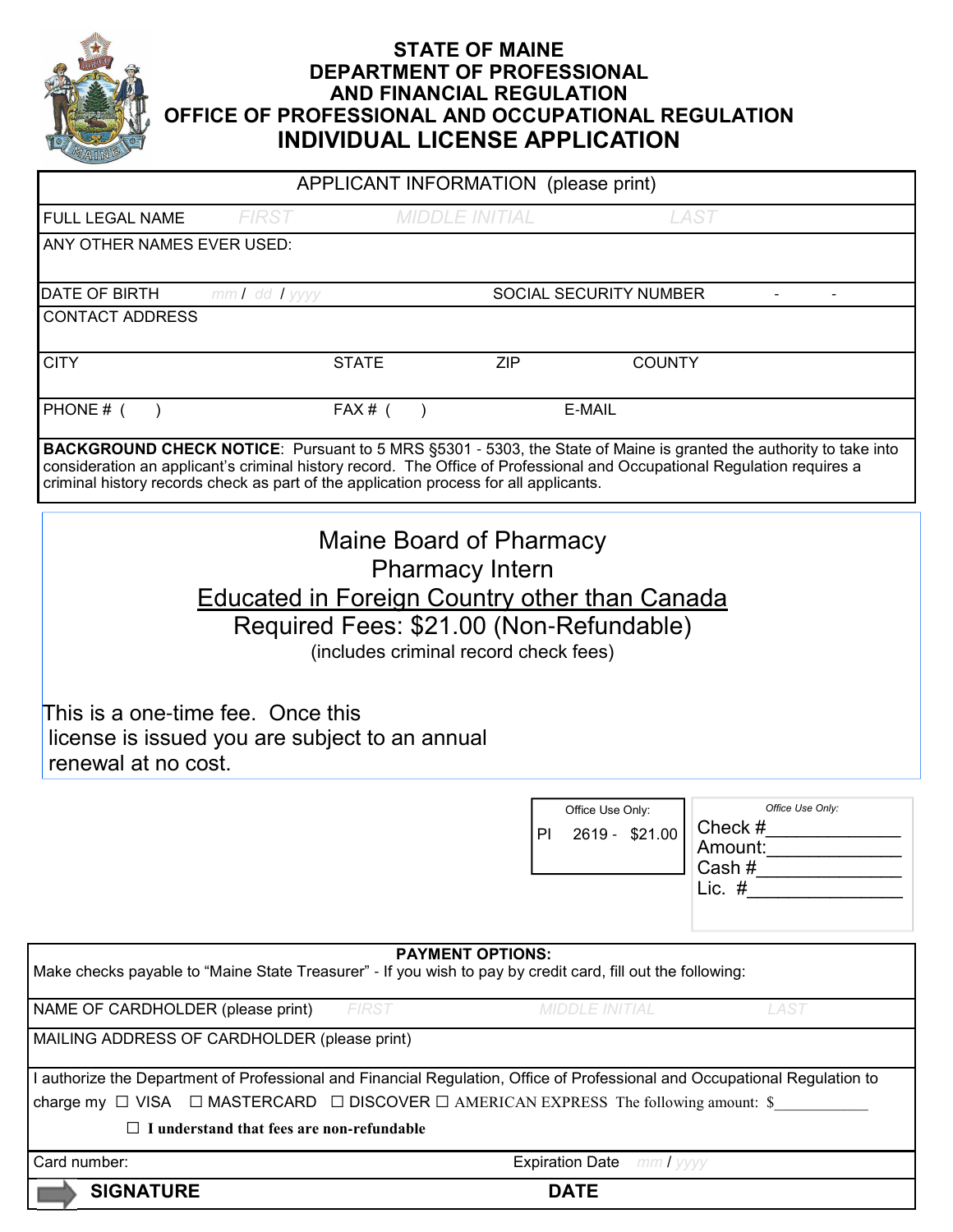

### **STATE OF MAINE DEPARTMENT OF PROFESSIONAL AND FINANCIAL REGULATION OFFICE OF PROFESSIONAL AND OCCUPATIONAL REGULATION INDIVIDUAL LICENSE APPLICATION**

|                                                                                                                                                                                                                                                                                                                                                                                                                                                            |                                                                                          | APPLICANT INFORMATION (please print)                                                       |                                    |                                                                                                                          |
|------------------------------------------------------------------------------------------------------------------------------------------------------------------------------------------------------------------------------------------------------------------------------------------------------------------------------------------------------------------------------------------------------------------------------------------------------------|------------------------------------------------------------------------------------------|--------------------------------------------------------------------------------------------|------------------------------------|--------------------------------------------------------------------------------------------------------------------------|
| FULL LEGAL NAME                                                                                                                                                                                                                                                                                                                                                                                                                                            | <b>FIRST</b>                                                                             | <b>MIDDLE INITIAL</b>                                                                      |                                    | <b>LAST</b>                                                                                                              |
| ANY OTHER NAMES EVER USED:                                                                                                                                                                                                                                                                                                                                                                                                                                 |                                                                                          |                                                                                            |                                    |                                                                                                                          |
| DATE OF BIRTH                                                                                                                                                                                                                                                                                                                                                                                                                                              | mm / dd / yyyy                                                                           | SOCIAL SECURITY NUMBER                                                                     |                                    |                                                                                                                          |
| <b>CONTACT ADDRESS</b>                                                                                                                                                                                                                                                                                                                                                                                                                                     |                                                                                          |                                                                                            |                                    |                                                                                                                          |
| <b>CITY</b>                                                                                                                                                                                                                                                                                                                                                                                                                                                | <b>STATE</b>                                                                             | <b>ZIP</b>                                                                                 | <b>COUNTY</b>                      |                                                                                                                          |
| PHONE # (                                                                                                                                                                                                                                                                                                                                                                                                                                                  | $FAX#$ (                                                                                 | E-MAIL                                                                                     |                                    |                                                                                                                          |
| consideration an applicant's criminal history record. The Office of Professional and Occupational Regulation requires a<br>criminal history records check as part of the application process for all applicants.                                                                                                                                                                                                                                           |                                                                                          |                                                                                            |                                    | <b>BACKGROUND CHECK NOTICE:</b> Pursuant to 5 MRS §5301 - 5303, the State of Maine is granted the authority to take into |
|                                                                                                                                                                                                                                                                                                                                                                                                                                                            | Educated in Foreign Country other than Canada<br>Required Fees: \$21.00 (Non-Refundable) | Maine Board of Pharmacy<br><b>Pharmacy Intern</b><br>(includes criminal record check fees) |                                    |                                                                                                                          |
| This is a one-time fee. Once this<br>license is issued you are subject to an annual<br>renewal at no cost.                                                                                                                                                                                                                                                                                                                                                 |                                                                                          |                                                                                            |                                    |                                                                                                                          |
|                                                                                                                                                                                                                                                                                                                                                                                                                                                            |                                                                                          | PI                                                                                         | Office Use Only:<br>2619 - \$21.00 | Office Use Only:<br>Check #                                                                                              |
|                                                                                                                                                                                                                                                                                                                                                                                                                                                            |                                                                                          |                                                                                            |                                    | Amount:<br>Cash $#$<br>Lic. $#$                                                                                          |
|                                                                                                                                                                                                                                                                                                                                                                                                                                                            |                                                                                          | <b>PAYMENT OPTIONS:</b>                                                                    |                                    |                                                                                                                          |
|                                                                                                                                                                                                                                                                                                                                                                                                                                                            | <b>FIRST</b>                                                                             |                                                                                            | <b>MIDDLE INITIAL</b>              | LAST                                                                                                                     |
|                                                                                                                                                                                                                                                                                                                                                                                                                                                            |                                                                                          |                                                                                            |                                    |                                                                                                                          |
|                                                                                                                                                                                                                                                                                                                                                                                                                                                            |                                                                                          |                                                                                            |                                    |                                                                                                                          |
|                                                                                                                                                                                                                                                                                                                                                                                                                                                            |                                                                                          |                                                                                            |                                    |                                                                                                                          |
|                                                                                                                                                                                                                                                                                                                                                                                                                                                            | $\Box$ I understand that fees are non-refundable                                         |                                                                                            |                                    |                                                                                                                          |
| Make checks payable to "Maine State Treasurer" - If you wish to pay by credit card, fill out the following:<br>NAME OF CARDHOLDER (please print)<br>MAILING ADDRESS OF CARDHOLDER (please print)<br>I authorize the Department of Professional and Financial Regulation, Office of Professional and Occupational Regulation to<br>charge my $\Box$ VISA $\Box$ MASTERCARD $\Box$ DISCOVER $\Box$ AMERICAN EXPRESS The following amount: \$<br>Card number: |                                                                                          |                                                                                            | <b>Expiration Date</b> mm / yyyy   |                                                                                                                          |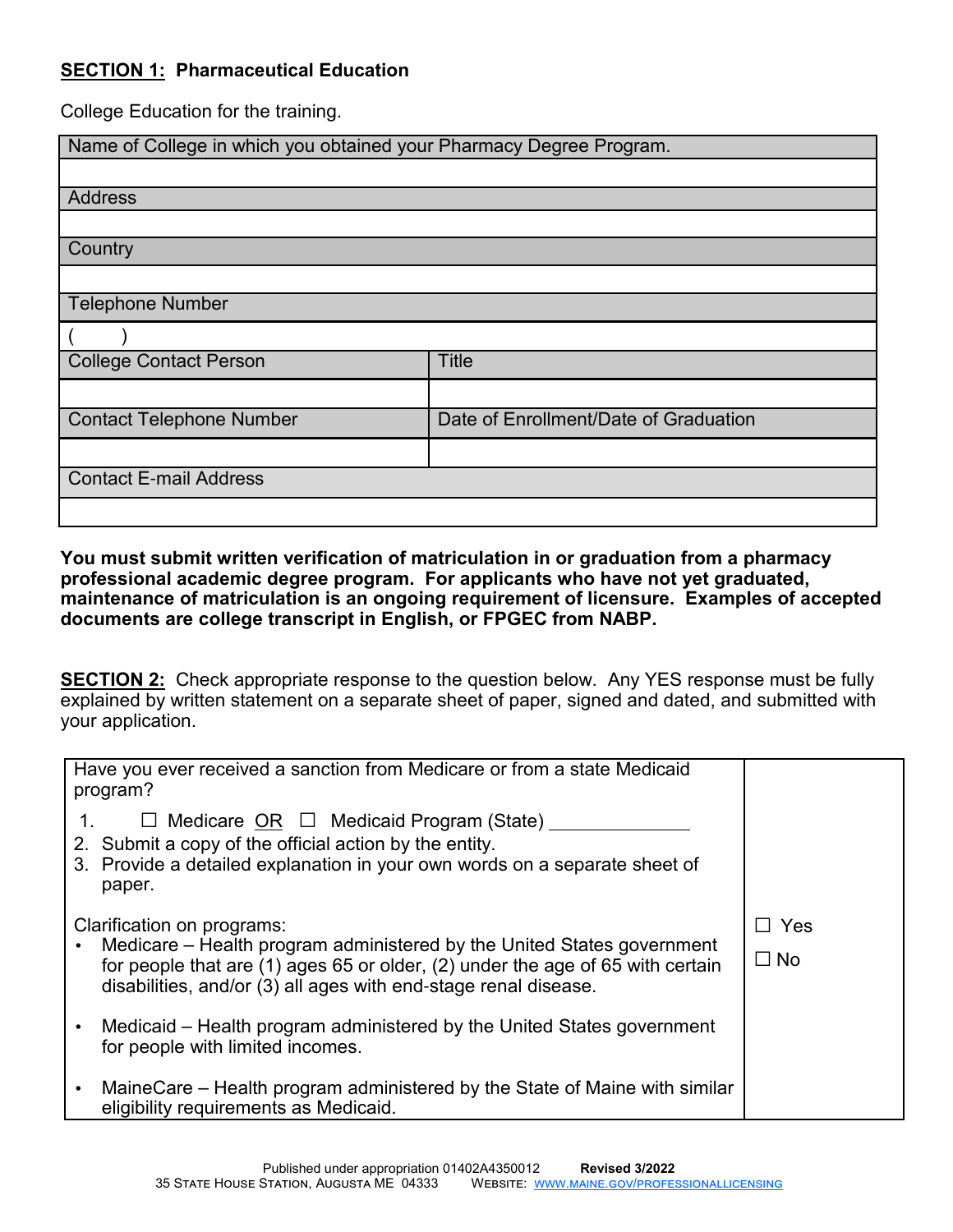### **SECTION 1: Pharmaceutical Education**

College Education for the training.

| Name of College in which you obtained your Pharmacy Degree Program. |                                       |  |  |  |
|---------------------------------------------------------------------|---------------------------------------|--|--|--|
|                                                                     |                                       |  |  |  |
| <b>Address</b>                                                      |                                       |  |  |  |
|                                                                     |                                       |  |  |  |
| Country                                                             |                                       |  |  |  |
|                                                                     |                                       |  |  |  |
| <b>Telephone Number</b>                                             |                                       |  |  |  |
|                                                                     |                                       |  |  |  |
| <b>College Contact Person</b>                                       | <b>Title</b>                          |  |  |  |
|                                                                     |                                       |  |  |  |
| <b>Contact Telephone Number</b>                                     | Date of Enrollment/Date of Graduation |  |  |  |
|                                                                     |                                       |  |  |  |
| <b>Contact E-mail Address</b>                                       |                                       |  |  |  |
|                                                                     |                                       |  |  |  |

**You must submit written verification of matriculation in or graduation from a pharmacy professional academic degree program. For applicants who have not yet graduated, maintenance of matriculation is an ongoing requirement of licensure. Examples of accepted documents are college transcript in English, or FPGEC from NABP.** 

**SECTION 2:** Check appropriate response to the question below. Any YES response must be fully explained by written statement on a separate sheet of paper, signed and dated, and submitted with your application.

| Have you ever received a sanction from Medicare or from a state Medicaid<br>program?                                                                                                                                                                      |                         |
|-----------------------------------------------------------------------------------------------------------------------------------------------------------------------------------------------------------------------------------------------------------|-------------------------|
| $\Box$ Medicare OR $\Box$ Medicaid Program (State) ___<br>2. Submit a copy of the official action by the entity.<br>3. Provide a detailed explanation in your own words on a separate sheet of<br>paper.                                                  |                         |
| Clarification on programs:<br>Medicare – Health program administered by the United States government<br>for people that are (1) ages 65 or older, (2) under the age of 65 with certain<br>disabilities, and/or (3) all ages with end-stage renal disease. | $\Box$ Yes<br>$\Box$ No |
| Medicaid – Health program administered by the United States government<br>for people with limited incomes.                                                                                                                                                |                         |
| MaineCare – Health program administered by the State of Maine with similar<br>eligibility requirements as Medicaid.                                                                                                                                       |                         |